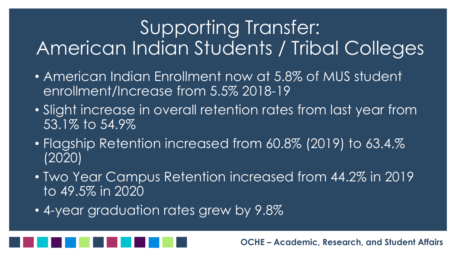### Supporting Transfer: American Indian Students / Tribal Colleges

- American Indian Enrollment now at 5.8% of MUS student enrollment/Increase from 5.5% 2018-19
- Slight increase in overall retention rates from last year from 53.1% to 54.9%
- Flagship Retention increased from 60.8% (2019) to 63.4.% (2020)
- Two Year Campus Retention increased from 44.2% in 2019 to 49.5% in 2020
- 4-year graduation rates grew by 9.8%

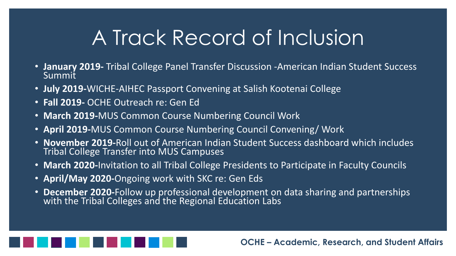# A Track Record of Inclusion

- **January 2019-** Tribal College Panel Transfer Discussion -American Indian Student Success Summit
- **July 2019-**WICHE-AIHEC Passport Convening at Salish Kootenai College
- **Fall 2019-** OCHE Outreach re: Gen Ed
- **March 2019-**MUS Common Course Numbering Council Work
- **April 2019-**MUS Common Course Numbering Council Convening/ Work
- **November 2019-**Roll out of American Indian Student Success dashboard which includes Tribal College Transfer into MUS Campuses
- **March 2020-**Invitation to all Tribal College Presidents to Participate in Faculty Councils
- **April/May 2020-**Ongoing work with SKC re: Gen Eds
- **December 2020-**Follow up professional development on data sharing and partnerships with the Tribal Colleges and the Regional Education Labs

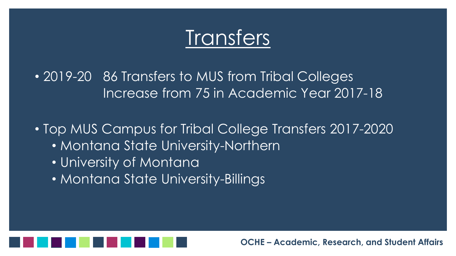

• 2019-20 86 Transfers to MUS from Tribal Colleges Increase from 75 in Academic Year 2017-18

• Top MUS Campus for Tribal College Transfers 2017-2020 • Montana State University-Northern • University of Montana

• Montana State University-Billings

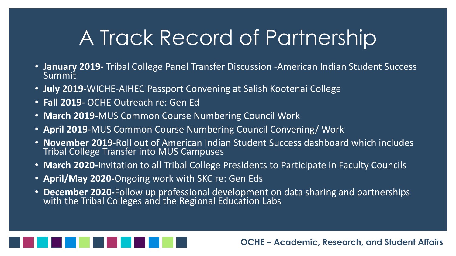# A Track Record of Partnership

- **January 2019-** Tribal College Panel Transfer Discussion -American Indian Student Success Summit
- **July 2019-**WICHE-AIHEC Passport Convening at Salish Kootenai College
- **Fall 2019-** OCHE Outreach re: Gen Ed
- **March 2019-**MUS Common Course Numbering Council Work
- **April 2019-**MUS Common Course Numbering Council Convening/ Work
- **November 2019-**Roll out of American Indian Student Success dashboard which includes Tribal College Transfer into MUS Campuses
- **March 2020-**Invitation to all Tribal College Presidents to Participate in Faculty Councils
- **April/May 2020-**Ongoing work with SKC re: Gen Eds
- **December 2020-**Follow up professional development on data sharing and partnerships with the Tribal Colleges and the Regional Education Labs

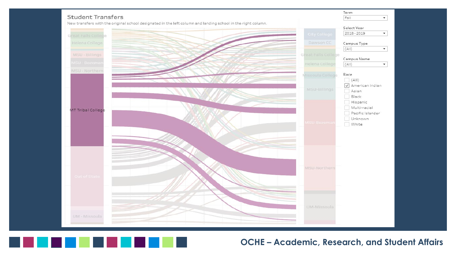